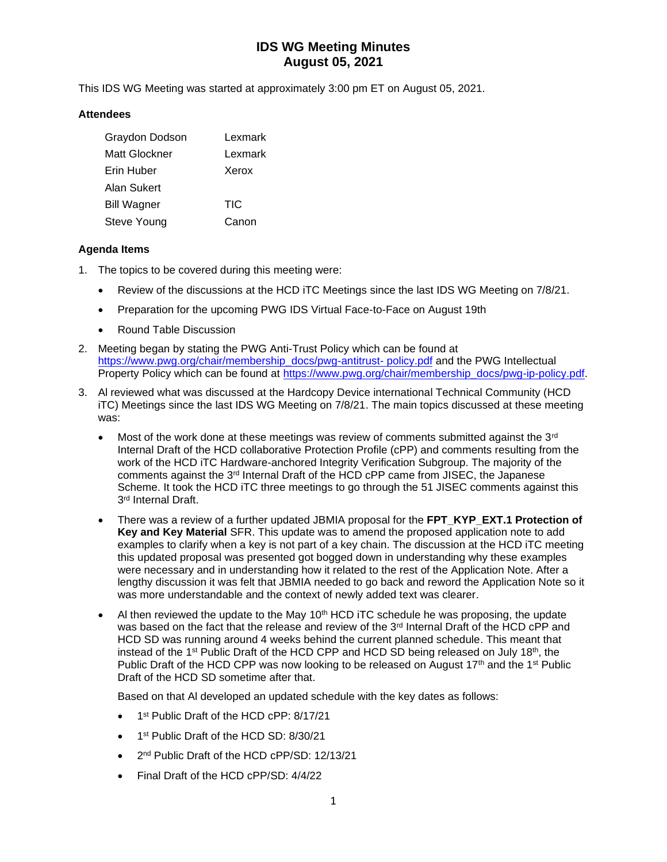This IDS WG Meeting was started at approximately 3:00 pm ET on August 05, 2021.

### **Attendees**

| Graydon Dodson     | Lexmark    |
|--------------------|------------|
| Matt Glockner      | Lexmark    |
| Erin Huber         | Xerox      |
| Alan Sukert        |            |
| <b>Bill Wagner</b> | <b>TIC</b> |
| Steve Young        | Canon      |

## **Agenda Items**

- 1. The topics to be covered during this meeting were:
	- Review of the discussions at the HCD iTC Meetings since the last IDS WG Meeting on 7/8/21.
	- Preparation for the upcoming PWG IDS Virtual Face-to-Face on August 19th
	- Round Table Discussion
- 2. Meeting began by stating the PWG Anti-Trust Policy which can be found at [https://www.pwg.org/chair/membership\\_docs/pwg-antitrust-](https://www.pwg.org/chair/membership_docs/pwg-antitrust-%20policy.pdf) policy.pdf and the PWG Intellectual Property Policy which can be found at [https://www.pwg.org/chair/membership\\_docs/pwg-ip-policy.pdf.](https://www.pwg.org/chair/membership_docs/pwg-ip-policy.pdf)
- 3. Al reviewed what was discussed at the Hardcopy Device international Technical Community (HCD iTC) Meetings since the last IDS WG Meeting on 7/8/21. The main topics discussed at these meeting was:
	- Most of the work done at these meetings was review of comments submitted against the  $3<sup>rd</sup>$ Internal Draft of the HCD collaborative Protection Profile (cPP) and comments resulting from the work of the HCD iTC Hardware-anchored Integrity Verification Subgroup. The majority of the comments against the  $3<sup>rd</sup>$  Internal Draft of the HCD cPP came from JISEC, the Japanese Scheme. It took the HCD iTC three meetings to go through the 51 JISEC comments against this 3 rd Internal Draft.
	- There was a review of a further updated JBMIA proposal for the **FPT\_KYP\_EXT.1 Protection of Key and Key Material** SFR. This update was to amend the proposed application note to add examples to clarify when a key is not part of a key chain. The discussion at the HCD iTC meeting this updated proposal was presented got bogged down in understanding why these examples were necessary and in understanding how it related to the rest of the Application Note. After a lengthy discussion it was felt that JBMIA needed to go back and reword the Application Note so it was more understandable and the context of newly added text was clearer.
	- Al then reviewed the update to the May  $10<sup>th</sup>$  HCD iTC schedule he was proposing, the update was based on the fact that the release and review of the  $3<sup>rd</sup>$  Internal Draft of the HCD cPP and HCD SD was running around 4 weeks behind the current planned schedule. This meant that instead of the 1<sup>st</sup> Public Draft of the HCD CPP and HCD SD being released on July 18<sup>th</sup>, the Public Draft of the HCD CPP was now looking to be released on August 17<sup>th</sup> and the 1<sup>st</sup> Public Draft of the HCD SD sometime after that.

Based on that Al developed an updated schedule with the key dates as follows:

- 1<sup>st</sup> Public Draft of the HCD cPP: 8/17/21
- 1<sup>st</sup> Public Draft of the HCD SD: 8/30/21
- 2<sup>nd</sup> Public Draft of the HCD cPP/SD: 12/13/21
- Final Draft of the HCD cPP/SD: 4/4/22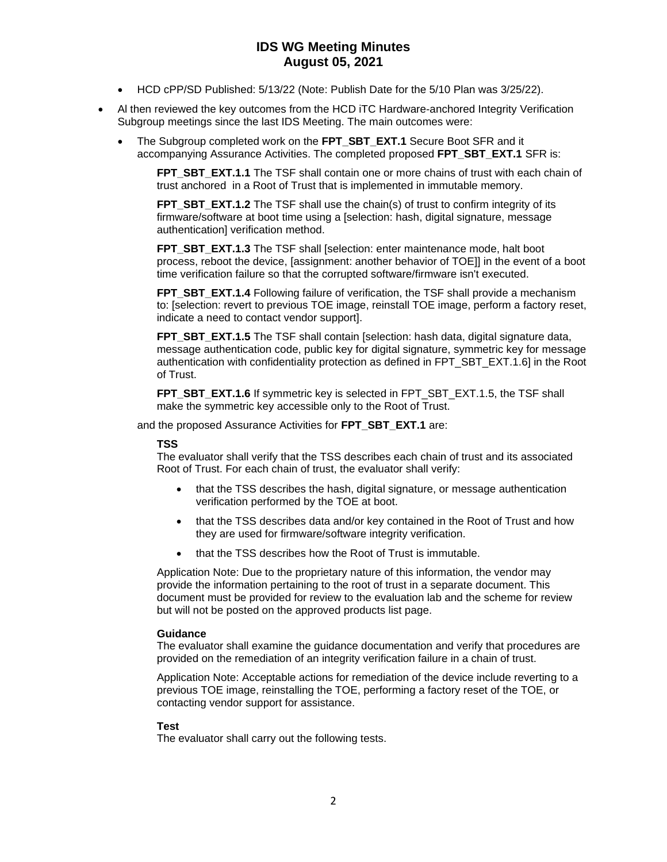- HCD cPP/SD Published: 5/13/22 (Note: Publish Date for the 5/10 Plan was 3/25/22).
- Al then reviewed the key outcomes from the HCD iTC Hardware-anchored Integrity Verification Subgroup meetings since the last IDS Meeting. The main outcomes were:
	- The Subgroup completed work on the **FPT\_SBT\_EXT.1** Secure Boot SFR and it accompanying Assurance Activities. The completed proposed **FPT\_SBT\_EXT.1** SFR is:

**FPT\_SBT\_EXT.1.1** The TSF shall contain one or more chains of trust with each chain of trust anchored in a Root of Trust that is implemented in immutable memory.

**FPT\_SBT\_EXT.1.2** The TSF shall use the chain(s) of trust to confirm integrity of its firmware/software at boot time using a [selection: hash, digital signature, message authentication] verification method.

**FPT\_SBT\_EXT.1.3** The TSF shall [selection: enter maintenance mode, halt boot process, reboot the device, [assignment: another behavior of TOE]] in the event of a boot time verification failure so that the corrupted software/firmware isn't executed.

**FPT\_SBT\_EXT.1.4** Following failure of verification, the TSF shall provide a mechanism to: [selection: revert to previous TOE image, reinstall TOE image, perform a factory reset, indicate a need to contact vendor support].

**FPT\_SBT\_EXT.1.5** The TSF shall contain [selection: hash data, digital signature data, message authentication code, public key for digital signature, symmetric key for message authentication with confidentiality protection as defined in FPT\_SBT\_EXT.1.6] in the Root of Trust.

**FPT\_SBT\_EXT.1.6** If symmetric key is selected in FPT\_SBT\_EXT.1.5, the TSF shall make the symmetric key accessible only to the Root of Trust.

and the proposed Assurance Activities for **FPT\_SBT\_EXT.1** are:

#### **TSS**

The evaluator shall verify that the TSS describes each chain of trust and its associated Root of Trust. For each chain of trust, the evaluator shall verify:

- that the TSS describes the hash, digital signature, or message authentication verification performed by the TOE at boot.
- that the TSS describes data and/or key contained in the Root of Trust and how they are used for firmware/software integrity verification.
- that the TSS describes how the Root of Trust is immutable.

Application Note: Due to the proprietary nature of this information, the vendor may provide the information pertaining to the root of trust in a separate document. This document must be provided for review to the evaluation lab and the scheme for review but will not be posted on the approved products list page.

#### **Guidance**

The evaluator shall examine the guidance documentation and verify that procedures are provided on the remediation of an integrity verification failure in a chain of trust.

Application Note: Acceptable actions for remediation of the device include reverting to a previous TOE image, reinstalling the TOE, performing a factory reset of the TOE, or contacting vendor support for assistance.

#### **Test**

The evaluator shall carry out the following tests.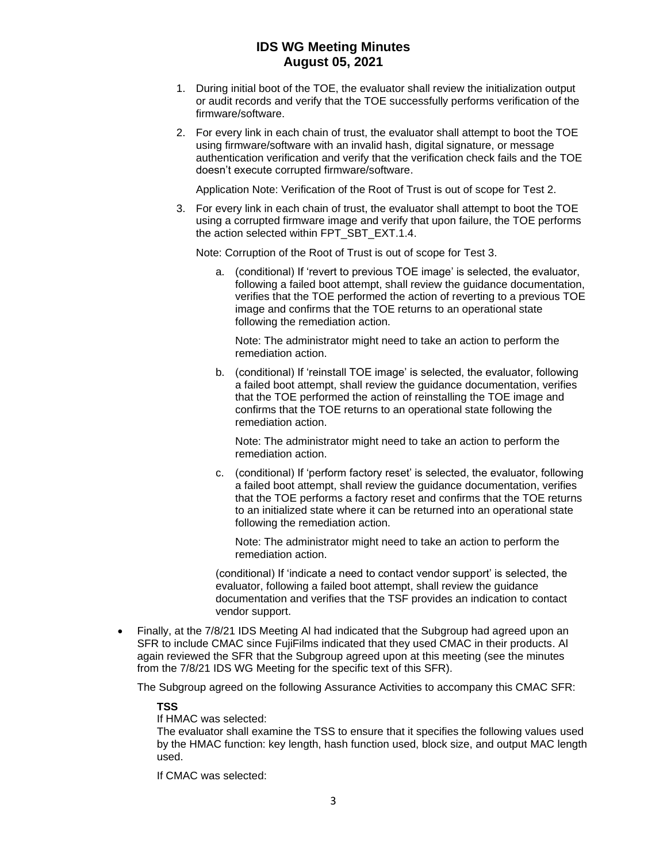- 1. During initial boot of the TOE, the evaluator shall review the initialization output or audit records and verify that the TOE successfully performs verification of the firmware/software.
- 2. For every link in each chain of trust, the evaluator shall attempt to boot the TOE using firmware/software with an invalid hash, digital signature, or message authentication verification and verify that the verification check fails and the TOE doesn't execute corrupted firmware/software.

Application Note: Verification of the Root of Trust is out of scope for Test 2.

3. For every link in each chain of trust, the evaluator shall attempt to boot the TOE using a corrupted firmware image and verify that upon failure, the TOE performs the action selected within FPT\_SBT\_EXT.1.4.

Note: Corruption of the Root of Trust is out of scope for Test 3.

a. (conditional) If 'revert to previous TOE image' is selected, the evaluator, following a failed boot attempt, shall review the guidance documentation, verifies that the TOE performed the action of reverting to a previous TOE image and confirms that the TOE returns to an operational state following the remediation action.

Note: The administrator might need to take an action to perform the remediation action.

b. (conditional) If 'reinstall TOE image' is selected, the evaluator, following a failed boot attempt, shall review the guidance documentation, verifies that the TOE performed the action of reinstalling the TOE image and confirms that the TOE returns to an operational state following the remediation action.

Note: The administrator might need to take an action to perform the remediation action.

c. (conditional) If 'perform factory reset' is selected, the evaluator, following a failed boot attempt, shall review the guidance documentation, verifies that the TOE performs a factory reset and confirms that the TOE returns to an initialized state where it can be returned into an operational state following the remediation action.

Note: The administrator might need to take an action to perform the remediation action.

(conditional) If 'indicate a need to contact vendor support' is selected, the evaluator, following a failed boot attempt, shall review the guidance documentation and verifies that the TSF provides an indication to contact vendor support.

• Finally, at the 7/8/21 IDS Meeting Al had indicated that the Subgroup had agreed upon an SFR to include CMAC since FujiFilms indicated that they used CMAC in their products. Al again reviewed the SFR that the Subgroup agreed upon at this meeting (see the minutes from the 7/8/21 IDS WG Meeting for the specific text of this SFR).

The Subgroup agreed on the following Assurance Activities to accompany this CMAC SFR:

#### **TSS**

If HMAC was selected:

The evaluator shall examine the TSS to ensure that it specifies the following values used by the HMAC function: key length, hash function used, block size, and output MAC length used.

If CMAC was selected: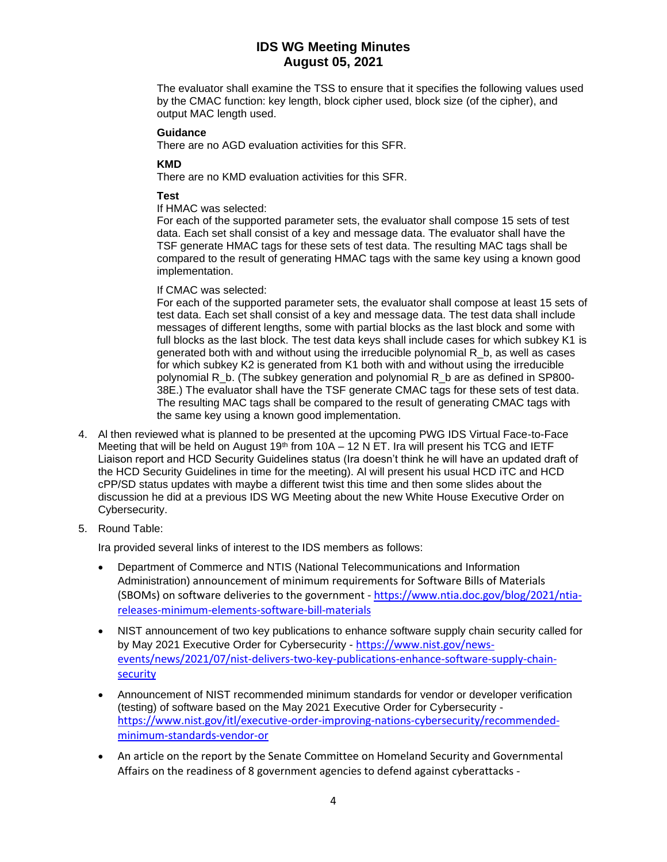The evaluator shall examine the TSS to ensure that it specifies the following values used by the CMAC function: key length, block cipher used, block size (of the cipher), and output MAC length used.

#### **Guidance**

There are no AGD evaluation activities for this SFR.

### **KMD**

There are no KMD evaluation activities for this SFR.

### **Test**

If HMAC was selected:

For each of the supported parameter sets, the evaluator shall compose 15 sets of test data. Each set shall consist of a key and message data. The evaluator shall have the TSF generate HMAC tags for these sets of test data. The resulting MAC tags shall be compared to the result of generating HMAC tags with the same key using a known good implementation.

### If CMAC was selected:

For each of the supported parameter sets, the evaluator shall compose at least 15 sets of test data. Each set shall consist of a key and message data. The test data shall include messages of different lengths, some with partial blocks as the last block and some with full blocks as the last block. The test data keys shall include cases for which subkey K1 is generated both with and without using the irreducible polynomial R\_b, as well as cases for which subkey K2 is generated from K1 both with and without using the irreducible polynomial R\_b. (The subkey generation and polynomial R\_b are as defined in SP800- 38E.) The evaluator shall have the TSF generate CMAC tags for these sets of test data. The resulting MAC tags shall be compared to the result of generating CMAC tags with the same key using a known good implementation.

- 4. Al then reviewed what is planned to be presented at the upcoming PWG IDS Virtual Face-to-Face Meeting that will be held on August 19<sup>th</sup> from 10A – 12 N ET. Ira will present his TCG and IETF Liaison report and HCD Security Guidelines status (Ira doesn't think he will have an updated draft of the HCD Security Guidelines in time for the meeting). Al will present his usual HCD iTC and HCD cPP/SD status updates with maybe a different twist this time and then some slides about the discussion he did at a previous IDS WG Meeting about the new White House Executive Order on Cybersecurity.
- 5. Round Table:

Ira provided several links of interest to the IDS members as follows:

- Department of Commerce and NTIS (National Telecommunications and Information Administration) announcement of minimum requirements for Software Bills of Materials (SBOMs) on software deliveries to the government - [https://www.ntia.doc.gov/blog/2021/ntia](https://www.ntia.doc.gov/blog/2021/ntia-releases-minimum-elements-software-bill-materials)[releases-minimum-elements-software-bill-materials](https://www.ntia.doc.gov/blog/2021/ntia-releases-minimum-elements-software-bill-materials)
- NIST announcement of two key publications to enhance software supply chain security called for by May 2021 Executive Order for Cybersecurity - [https://www.nist.gov/news](https://www.nist.gov/news-events/news/2021/07/nist-delivers-two-key-publications-enhance-software-supply-chain-security)[events/news/2021/07/nist-delivers-two-key-publications-enhance-software-supply-chain](https://www.nist.gov/news-events/news/2021/07/nist-delivers-two-key-publications-enhance-software-supply-chain-security)[security](https://www.nist.gov/news-events/news/2021/07/nist-delivers-two-key-publications-enhance-software-supply-chain-security)
- Announcement of NIST recommended minimum standards for vendor or developer verification (testing) of software based on the May 2021 Executive Order for Cybersecurity [https://www.nist.gov/itl/executive-order-improving-nations-cybersecurity/recommended](https://www.nist.gov/itl/executive-order-improving-nations-cybersecurity/recommended-minimum-standards-vendor-or)[minimum-standards-vendor-or](https://www.nist.gov/itl/executive-order-improving-nations-cybersecurity/recommended-minimum-standards-vendor-or)
- An article on the report by the Senate Committee on Homeland Security and Governmental Affairs on the readiness of 8 government agencies to defend against cyberattacks -